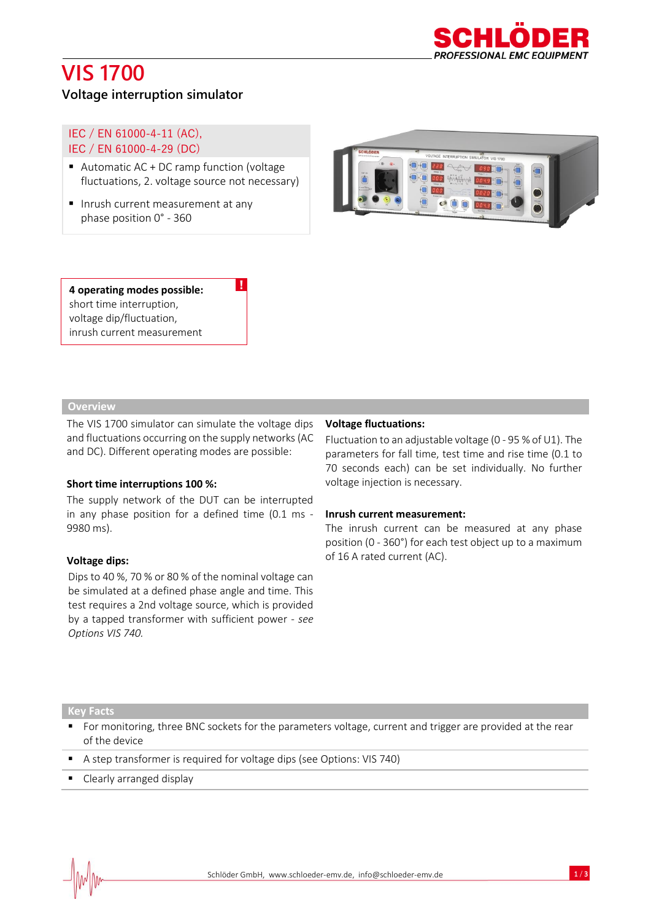

# **VIS 1700**

## **Voltage interruption simulator**

IEC / EN 61000-4-11 (AC), IEC / EN 61000-4-29 (DC)

■ Automatic AC + DC ramp function (voltage fluctuations, 2. voltage source not necessary)

!

■ Inrush current measurement at any phase position 0° - 360



## **4 operating modes possible:**  short time interruption, voltage dip/fluctuation, inrush current measurement

## **Overview**

The VIS 1700 simulator can simulate the voltage dips and fluctuations occurring on the supply networks (AC and DC). Different operating modes are possible:

## **Short time interruptions 100 %:**

The supply network of the DUT can be interrupted in any phase position for a defined time (0.1 ms - 9980 ms).

### **Voltage dips:**

Dips to 40 %, 70 % or 80 % of the nominal voltage can be simulated at a defined phase angle and time. This test requires a 2nd voltage source, which is provided by a tapped transformer with sufficient power - *see Options VIS 740.*

### **Voltage fluctuations:**

Fluctuation to an adjustable voltage (0 - 95 % of U1). The parameters for fall time, test time and rise time (0.1 to 70 seconds each) can be set individually. No further voltage injection is necessary.

#### **Inrush current measurement:**

The inrush current can be measured at any phase position (0 - 360°) for each test object up to a maximum of 16 A rated current (AC).

#### **Key Facts**

- For monitoring, three BNC sockets for the parameters voltage, current and trigger are provided at the rear of the device
- A step transformer is required for voltage dips (see Options: VIS 740)
- Clearly arranged display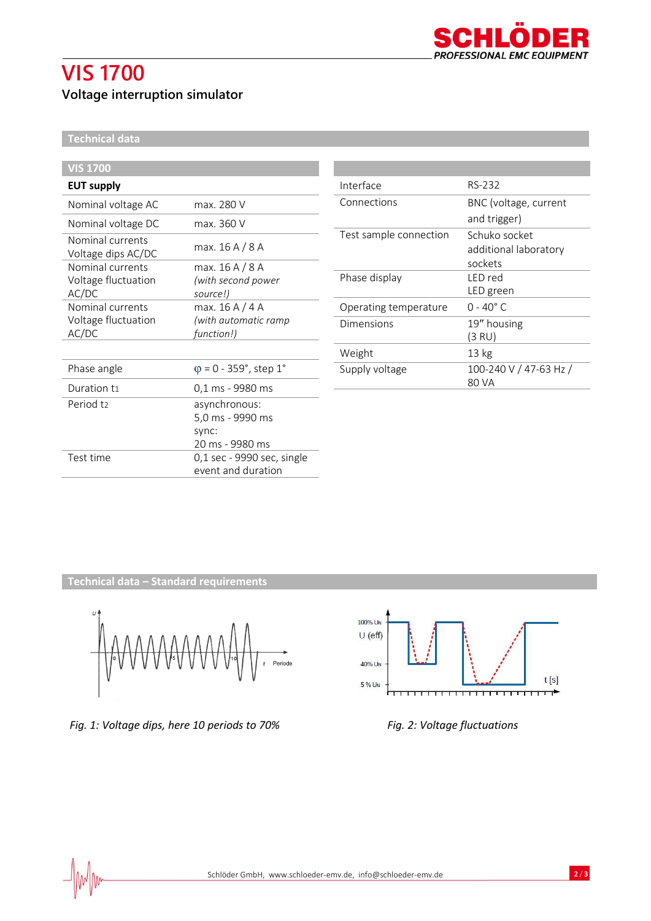# **VIS 1700**

# **Voltage interruption simulator**



**Technical data**

| <b>VIS 1700</b>                        |                               |
|----------------------------------------|-------------------------------|
| <b>EUT supply</b>                      |                               |
| Nominal voltage AC                     | max. 280 V                    |
| Nominal voltage DC                     | max. 360 V                    |
| Nominal currents<br>Voltage dips AC/DC | max. 16 A / 8 A               |
| Nominal currents                       | max. 16 A / 8 A               |
| Voltage fluctuation                    | (with second power            |
| AC/DC                                  | source!)                      |
| Nominal currents                       | max. 16 A / 4 A               |
| Voltage fluctuation                    | (with automatic ramp          |
| AC/DC                                  | function!)                    |
|                                        |                               |
| Phase angle                            | $\varphi$ = 0 - 359°, step 1° |
| Duration ti                            | 0,1 ms - 9980 ms              |
| Period t <sub>2</sub>                  | asynchronous:                 |
|                                        | 5,0 ms - 9990 ms              |
|                                        | sync:                         |
|                                        | 20 ms - 9980 ms               |
| Test time                              | 0,1 sec - 9990 sec, single    |
|                                        | event and duration            |

| Interface              | RS-232                 |
|------------------------|------------------------|
| Connections            | BNC (voltage, current  |
|                        | and trigger)           |
| Test sample connection | Schuko socket          |
|                        | additional laboratory  |
|                        | sockets                |
| Phase display          | I FD red               |
|                        | LED green              |
| Operating temperature  | $0 - 40^{\circ}$ C.    |
| Dimensions             | 19" housing            |
|                        | (3 RU)                 |
| Weight                 | 13 <sub>kg</sub>       |
| Supply voltage         | 100-240 V / 47-63 Hz / |
|                        | 80 VA                  |

**Technical data – Standard requirements**



*Fig. 1: Voltage dips, here 10 periods to 70% Fig. 2: Voltage fluctuations*